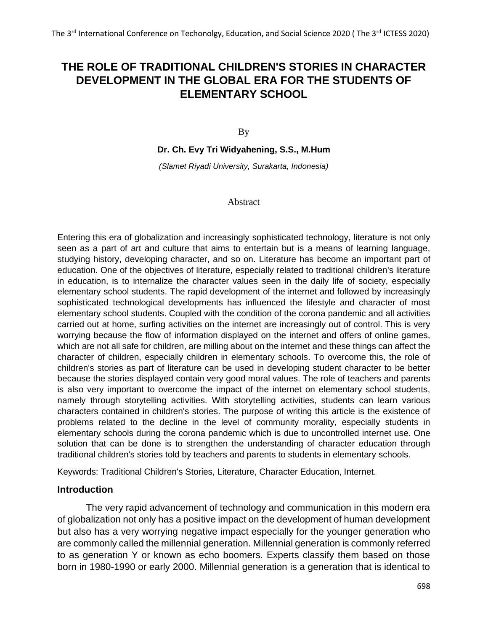# **THE ROLE OF TRADITIONAL CHILDREN'S STORIES IN CHARACTER DEVELOPMENT IN THE GLOBAL ERA FOR THE STUDENTS OF ELEMENTARY SCHOOL**

By

**Dr. Ch. Evy Tri Widyahening, S.S., M.Hum**

*(Slamet Riyadi University, Surakarta, Indonesia)*

#### Abstract

Entering this era of globalization and increasingly sophisticated technology, literature is not only seen as a part of art and culture that aims to entertain but is a means of learning language, studying history, developing character, and so on. Literature has become an important part of education. One of the objectives of literature, especially related to traditional children's literature in education, is to internalize the character values seen in the daily life of society, especially elementary school students. The rapid development of the internet and followed by increasingly sophisticated technological developments has influenced the lifestyle and character of most elementary school students. Coupled with the condition of the corona pandemic and all activities carried out at home, surfing activities on the internet are increasingly out of control. This is very worrying because the flow of information displayed on the internet and offers of online games, which are not all safe for children, are milling about on the internet and these things can affect the character of children, especially children in elementary schools. To overcome this, the role of children's stories as part of literature can be used in developing student character to be better because the stories displayed contain very good moral values. The role of teachers and parents is also very important to overcome the impact of the internet on elementary school students, namely through storytelling activities. With storytelling activities, students can learn various characters contained in children's stories. The purpose of writing this article is the existence of problems related to the decline in the level of community morality, especially students in elementary schools during the corona pandemic which is due to uncontrolled internet use. One solution that can be done is to strengthen the understanding of character education through traditional children's stories told by teachers and parents to students in elementary schools.

Keywords: Traditional Children's Stories, Literature, Character Education, Internet.

#### **Introduction**

The very rapid advancement of technology and communication in this modern era of globalization not only has a positive impact on the development of human development but also has a very worrying negative impact especially for the younger generation who are commonly called the millennial generation. Millennial generation is commonly referred to as generation Y or known as echo boomers. Experts classify them based on those born in 1980-1990 or early 2000. Millennial generation is a generation that is identical to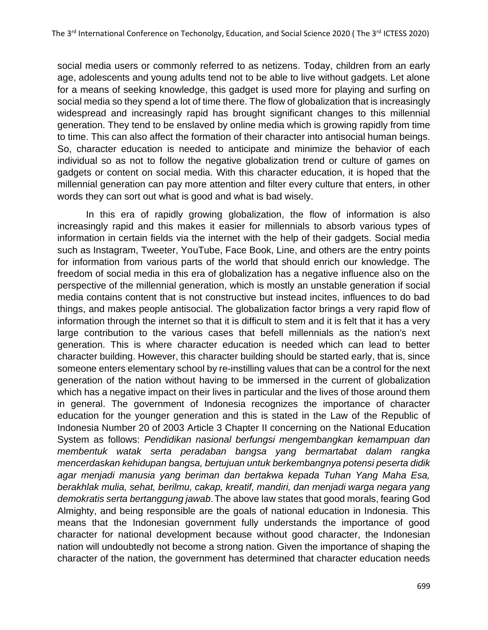social media users or commonly referred to as netizens. Today, children from an early age, adolescents and young adults tend not to be able to live without gadgets. Let alone for a means of seeking knowledge, this gadget is used more for playing and surfing on social media so they spend a lot of time there. The flow of globalization that is increasingly widespread and increasingly rapid has brought significant changes to this millennial generation. They tend to be enslaved by online media which is growing rapidly from time to time. This can also affect the formation of their character into antisocial human beings. So, character education is needed to anticipate and minimize the behavior of each individual so as not to follow the negative globalization trend or culture of games on gadgets or content on social media. With this character education, it is hoped that the millennial generation can pay more attention and filter every culture that enters, in other words they can sort out what is good and what is bad wisely.

In this era of rapidly growing globalization, the flow of information is also increasingly rapid and this makes it easier for millennials to absorb various types of information in certain fields via the internet with the help of their gadgets. Social media such as Instagram, Tweeter, YouTube, Face Book, Line, and others are the entry points for information from various parts of the world that should enrich our knowledge. The freedom of social media in this era of globalization has a negative influence also on the perspective of the millennial generation, which is mostly an unstable generation if social media contains content that is not constructive but instead incites, influences to do bad things, and makes people antisocial. The globalization factor brings a very rapid flow of information through the internet so that it is difficult to stem and it is felt that it has a very large contribution to the various cases that befell millennials as the nation's next generation. This is where character education is needed which can lead to better character building. However, this character building should be started early, that is, since someone enters elementary school by re-instilling values that can be a control for the next generation of the nation without having to be immersed in the current of globalization which has a negative impact on their lives in particular and the lives of those around them in general. The government of Indonesia recognizes the importance of character education for the younger generation and this is stated in the Law of the Republic of Indonesia Number 20 of 2003 Article 3 Chapter II concerning on the National Education System as follows: *Pendidikan nasional berfungsi mengembangkan kemampuan dan membentuk watak serta peradaban bangsa yang bermartabat dalam rangka mencerdaskan kehidupan bangsa, bertujuan untuk berkembangnya potensi peserta didik agar menjadi manusia yang beriman dan bertakwa kepada Tuhan Yang Maha Esa, berakhlak mulia, sehat, berilmu, cakap, kreatif, mandiri, dan menjadi warga negara yang demokratis serta bertanggung jawab*. The above law states that good morals, fearing God Almighty, and being responsible are the goals of national education in Indonesia. This means that the Indonesian government fully understands the importance of good character for national development because without good character, the Indonesian nation will undoubtedly not become a strong nation. Given the importance of shaping the character of the nation, the government has determined that character education needs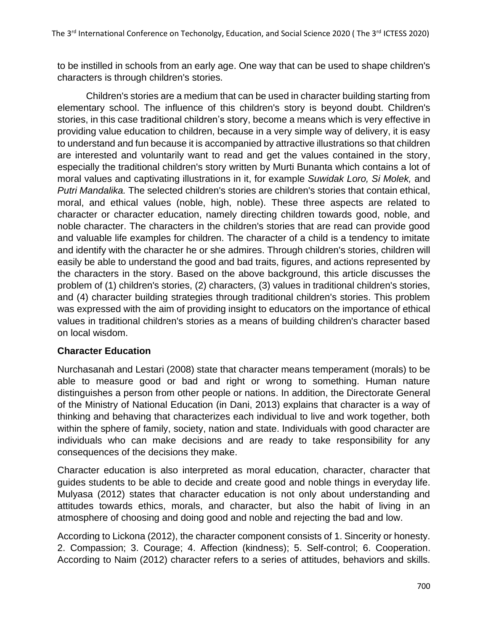to be instilled in schools from an early age. One way that can be used to shape children's characters is through children's stories.

Children's stories are a medium that can be used in character building starting from elementary school. The influence of this children's story is beyond doubt. Children's stories, in this case traditional children's story, become a means which is very effective in providing value education to children, because in a very simple way of delivery, it is easy to understand and fun because it is accompanied by attractive illustrations so that children are interested and voluntarily want to read and get the values contained in the story, especially the traditional children's story written by Murti Bunanta which contains a lot of moral values and captivating illustrations in it, for example *Suwidak Loro, Si Molek,* and *Putri Mandalika.* The selected children's stories are children's stories that contain ethical, moral, and ethical values (noble, high, noble). These three aspects are related to character or character education, namely directing children towards good, noble, and noble character. The characters in the children's stories that are read can provide good and valuable life examples for children. The character of a child is a tendency to imitate and identify with the character he or she admires. Through children's stories, children will easily be able to understand the good and bad traits, figures, and actions represented by the characters in the story. Based on the above background, this article discusses the problem of (1) children's stories, (2) characters, (3) values in traditional children's stories, and (4) character building strategies through traditional children's stories. This problem was expressed with the aim of providing insight to educators on the importance of ethical values in traditional children's stories as a means of building children's character based on local wisdom.

# **Character Education**

Nurchasanah and Lestari (2008) state that character means temperament (morals) to be able to measure good or bad and right or wrong to something. Human nature distinguishes a person from other people or nations. In addition, the Directorate General of the Ministry of National Education (in Dani, 2013) explains that character is a way of thinking and behaving that characterizes each individual to live and work together, both within the sphere of family, society, nation and state. Individuals with good character are individuals who can make decisions and are ready to take responsibility for any consequences of the decisions they make.

Character education is also interpreted as moral education, character, character that guides students to be able to decide and create good and noble things in everyday life. Mulyasa (2012) states that character education is not only about understanding and attitudes towards ethics, morals, and character, but also the habit of living in an atmosphere of choosing and doing good and noble and rejecting the bad and low.

According to Lickona (2012), the character component consists of 1. Sincerity or honesty. 2. Compassion; 3. Courage; 4. Affection (kindness); 5. Self-control; 6. Cooperation. According to Naim (2012) character refers to a series of attitudes, behaviors and skills.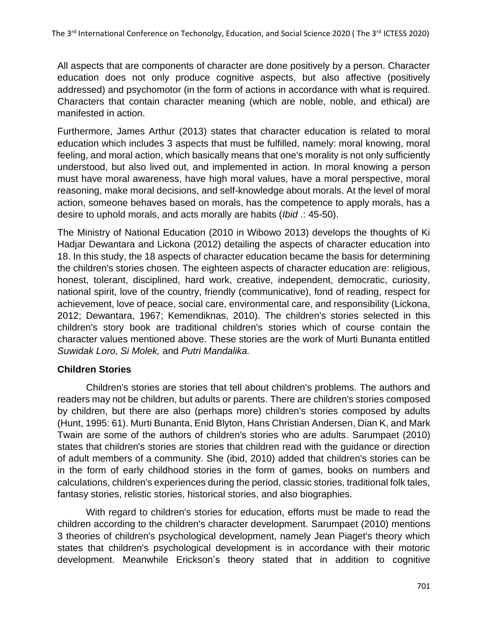All aspects that are components of character are done positively by a person. Character education does not only produce cognitive aspects, but also affective (positively addressed) and psychomotor (in the form of actions in accordance with what is required. Characters that contain character meaning (which are noble, noble, and ethical) are manifested in action.

Furthermore, James Arthur (2013) states that character education is related to moral education which includes 3 aspects that must be fulfilled, namely: moral knowing, moral feeling, and moral action, which basically means that one's morality is not only sufficiently understood, but also lived out, and implemented in action. In moral knowing a person must have moral awareness, have high moral values, have a moral perspective, moral reasoning, make moral decisions, and self-knowledge about morals. At the level of moral action, someone behaves based on morals, has the competence to apply morals, has a desire to uphold morals, and acts morally are habits (*Ibid* .: 45-50).

The Ministry of National Education (2010 in Wibowo 2013) develops the thoughts of Ki Hadjar Dewantara and Lickona (2012) detailing the aspects of character education into 18. In this study, the 18 aspects of character education became the basis for determining the children's stories chosen. The eighteen aspects of character education are: religious, honest, tolerant, disciplined, hard work, creative, independent, democratic, curiosity, national spirit, love of the country, friendly (communicative), fond of reading, respect for achievement, love of peace, social care, environmental care, and responsibility (Lickona, 2012; Dewantara, 1967; Kemendiknas, 2010). The children's stories selected in this children's story book are traditional children's stories which of course contain the character values mentioned above. These stories are the work of Murti Bunanta entitled *Suwidak Loro, Si Molek,* and *Putri Mandalika.*

### **Children Stories**

Children's stories are stories that tell about children's problems. The authors and readers may not be children, but adults or parents. There are children's stories composed by children, but there are also (perhaps more) children's stories composed by adults (Hunt, 1995: 61). Murti Bunanta, Enid Blyton, Hans Christian Andersen, Dian K, and Mark Twain are some of the authors of children's stories who are adults. Sarumpaet (2010) states that children's stories are stories that children read with the guidance or direction of adult members of a community. She (ibid, 2010) added that children's stories can be in the form of early childhood stories in the form of games, books on numbers and calculations, children's experiences during the period, classic stories, traditional folk tales, fantasy stories, relistic stories, historical stories, and also biographies.

With regard to children's stories for education, efforts must be made to read the children according to the children's character development. Sarumpaet (2010) mentions 3 theories of children's psychological development, namely Jean Piaget's theory which states that children's psychological development is in accordance with their motoric development. Meanwhile Erickson's theory stated that in addition to cognitive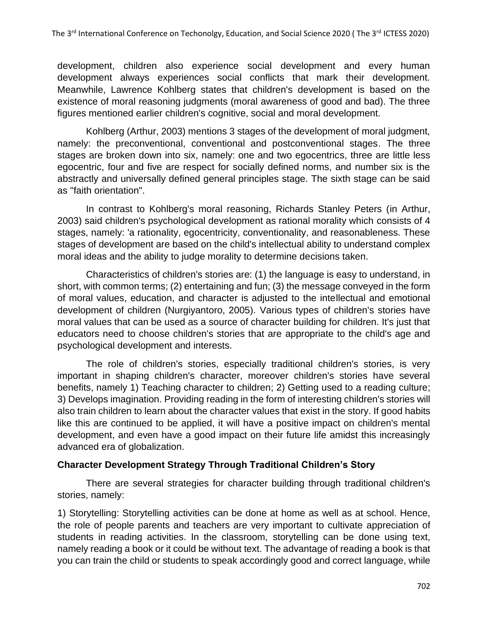development, children also experience social development and every human development always experiences social conflicts that mark their development. Meanwhile, Lawrence Kohlberg states that children's development is based on the existence of moral reasoning judgments (moral awareness of good and bad). The three figures mentioned earlier children's cognitive, social and moral development.

Kohlberg (Arthur, 2003) mentions 3 stages of the development of moral judgment, namely: the preconventional, conventional and postconventional stages. The three stages are broken down into six, namely: one and two egocentrics, three are little less egocentric, four and five are respect for socially defined norms, and number six is the abstractly and universally defined general principles stage. The sixth stage can be said as "faith orientation".

In contrast to Kohlberg's moral reasoning, Richards Stanley Peters (in Arthur, 2003) said children's psychological development as rational morality which consists of 4 stages, namely: 'a rationality, egocentricity, conventionality, and reasonableness. These stages of development are based on the child's intellectual ability to understand complex moral ideas and the ability to judge morality to determine decisions taken.

Characteristics of children's stories are: (1) the language is easy to understand, in short, with common terms; (2) entertaining and fun; (3) the message conveyed in the form of moral values, education, and character is adjusted to the intellectual and emotional development of children (Nurgiyantoro, 2005). Various types of children's stories have moral values that can be used as a source of character building for children. It's just that educators need to choose children's stories that are appropriate to the child's age and psychological development and interests.

The role of children's stories, especially traditional children's stories, is very important in shaping children's character, moreover children's stories have several benefits, namely 1) Teaching character to children; 2) Getting used to a reading culture; 3) Develops imagination. Providing reading in the form of interesting children's stories will also train children to learn about the character values that exist in the story. If good habits like this are continued to be applied, it will have a positive impact on children's mental development, and even have a good impact on their future life amidst this increasingly advanced era of globalization.

# **Character Development Strategy Through Traditional Children's Story**

There are several strategies for character building through traditional children's stories, namely:

1) Storytelling: Storytelling activities can be done at home as well as at school. Hence, the role of people parents and teachers are very important to cultivate appreciation of students in reading activities. In the classroom, storytelling can be done using text, namely reading a book or it could be without text. The advantage of reading a book is that you can train the child or students to speak accordingly good and correct language, while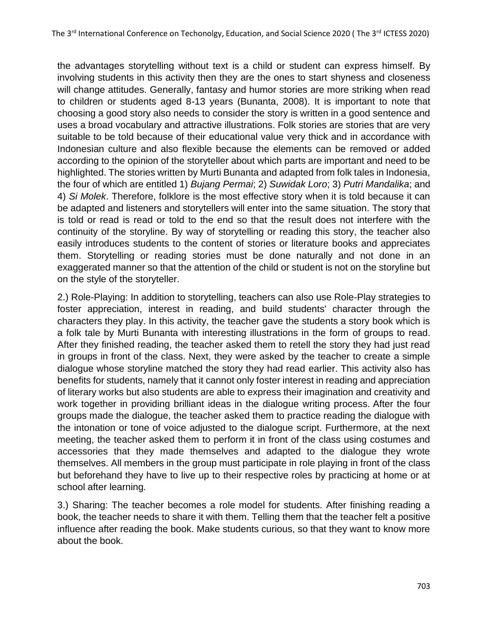the advantages storytelling without text is a child or student can express himself. By involving students in this activity then they are the ones to start shyness and closeness will change attitudes. Generally, fantasy and humor stories are more striking when read to children or students aged 8-13 years (Bunanta, 2008). It is important to note that choosing a good story also needs to consider the story is written in a good sentence and uses a broad vocabulary and attractive illustrations. Folk stories are stories that are very suitable to be told because of their educational value very thick and in accordance with Indonesian culture and also flexible because the elements can be removed or added according to the opinion of the storyteller about which parts are important and need to be highlighted. The stories written by Murti Bunanta and adapted from folk tales in Indonesia, the four of which are entitled 1) *Bujang Permai*; 2) *Suwidak Loro*; 3) *Putri Mandalika*; and 4) *Si Molek*. Therefore, folklore is the most effective story when it is told because it can be adapted and listeners and storytellers will enter into the same situation. The story that is told or read is read or told to the end so that the result does not interfere with the continuity of the storyline. By way of storytelling or reading this story, the teacher also easily introduces students to the content of stories or literature books and appreciates them. Storytelling or reading stories must be done naturally and not done in an exaggerated manner so that the attention of the child or student is not on the storyline but on the style of the storyteller.

2.) Role-Playing: In addition to storytelling, teachers can also use Role-Play strategies to foster appreciation, interest in reading, and build students' character through the characters they play. In this activity, the teacher gave the students a story book which is a folk tale by Murti Bunanta with interesting illustrations in the form of groups to read. After they finished reading, the teacher asked them to retell the story they had just read in groups in front of the class. Next, they were asked by the teacher to create a simple dialogue whose storyline matched the story they had read earlier. This activity also has benefits for students, namely that it cannot only foster interest in reading and appreciation of literary works but also students are able to express their imagination and creativity and work together in providing brilliant ideas in the dialogue writing process. After the four groups made the dialogue, the teacher asked them to practice reading the dialogue with the intonation or tone of voice adjusted to the dialogue script. Furthermore, at the next meeting, the teacher asked them to perform it in front of the class using costumes and accessories that they made themselves and adapted to the dialogue they wrote themselves. All members in the group must participate in role playing in front of the class but beforehand they have to live up to their respective roles by practicing at home or at school after learning.

3.) Sharing: The teacher becomes a role model for students. After finishing reading a book, the teacher needs to share it with them. Telling them that the teacher felt a positive influence after reading the book. Make students curious, so that they want to know more about the book.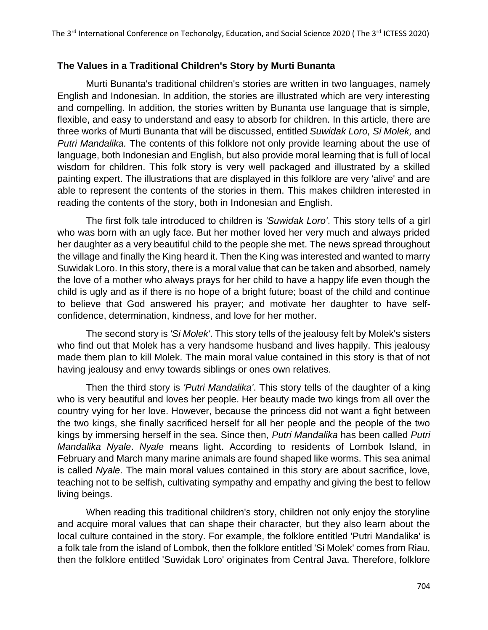### **The Values in a Traditional Children's Story by Murti Bunanta**

Murti Bunanta's traditional children's stories are written in two languages, namely English and Indonesian. In addition, the stories are illustrated which are very interesting and compelling. In addition, the stories written by Bunanta use language that is simple, flexible, and easy to understand and easy to absorb for children. In this article, there are three works of Murti Bunanta that will be discussed, entitled *Suwidak Loro, Si Molek,* and *Putri Mandalika.* The contents of this folklore not only provide learning about the use of language, both Indonesian and English, but also provide moral learning that is full of local wisdom for children. This folk story is very well packaged and illustrated by a skilled painting expert. The illustrations that are displayed in this folklore are very 'alive' and are able to represent the contents of the stories in them. This makes children interested in reading the contents of the story, both in Indonesian and English.

The first folk tale introduced to children is *'Suwidak Loro'*. This story tells of a girl who was born with an ugly face. But her mother loved her very much and always prided her daughter as a very beautiful child to the people she met. The news spread throughout the village and finally the King heard it. Then the King was interested and wanted to marry Suwidak Loro. In this story, there is a moral value that can be taken and absorbed, namely the love of a mother who always prays for her child to have a happy life even though the child is ugly and as if there is no hope of a bright future; boast of the child and continue to believe that God answered his prayer; and motivate her daughter to have selfconfidence, determination, kindness, and love for her mother.

The second story is *'Si Molek'*. This story tells of the jealousy felt by Molek's sisters who find out that Molek has a very handsome husband and lives happily. This jealousy made them plan to kill Molek. The main moral value contained in this story is that of not having jealousy and envy towards siblings or ones own relatives.

Then the third story is *'Putri Mandalika'*. This story tells of the daughter of a king who is very beautiful and loves her people. Her beauty made two kings from all over the country vying for her love. However, because the princess did not want a fight between the two kings, she finally sacrificed herself for all her people and the people of the two kings by immersing herself in the sea. Since then, *Putri Mandalika* has been called *Putri Mandalika Nyale*. *Nyale* means light. According to residents of Lombok Island, in February and March many marine animals are found shaped like worms. This sea animal is called *Nyale*. The main moral values contained in this story are about sacrifice, love, teaching not to be selfish, cultivating sympathy and empathy and giving the best to fellow living beings.

When reading this traditional children's story, children not only enjoy the storyline and acquire moral values that can shape their character, but they also learn about the local culture contained in the story. For example, the folklore entitled 'Putri Mandalika' is a folk tale from the island of Lombok, then the folklore entitled 'Si Molek' comes from Riau, then the folklore entitled 'Suwidak Loro' originates from Central Java. Therefore, folklore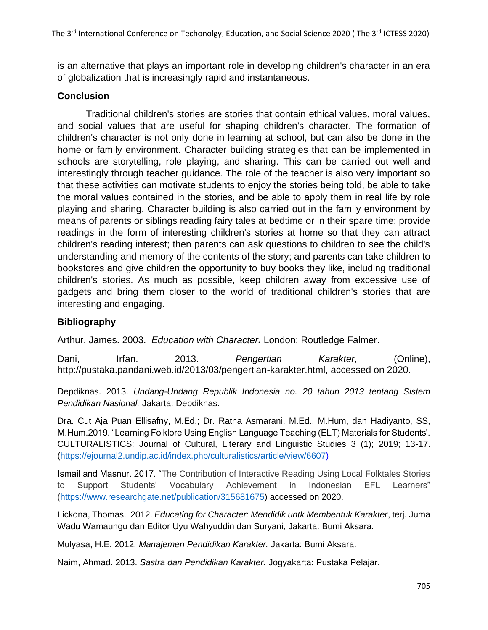is an alternative that plays an important role in developing children's character in an era of globalization that is increasingly rapid and instantaneous.

# **Conclusion**

Traditional children's stories are stories that contain ethical values, moral values, and social values that are useful for shaping children's character. The formation of children's character is not only done in learning at school, but can also be done in the home or family environment. Character building strategies that can be implemented in schools are storytelling, role playing, and sharing. This can be carried out well and interestingly through teacher guidance. The role of the teacher is also very important so that these activities can motivate students to enjoy the stories being told, be able to take the moral values contained in the stories, and be able to apply them in real life by role playing and sharing. Character building is also carried out in the family environment by means of parents or siblings reading fairy tales at bedtime or in their spare time; provide readings in the form of interesting children's stories at home so that they can attract children's reading interest; then parents can ask questions to children to see the child's understanding and memory of the contents of the story; and parents can take children to bookstores and give children the opportunity to buy books they like, including traditional children's stories. As much as possible, keep children away from excessive use of gadgets and bring them closer to the world of traditional children's stories that are interesting and engaging.

# **Bibliography**

Arthur, James. 2003. *Education with Character.* London: Routledge Falmer.

Dani, Irfan. 2013. *Pengertian Karakter*, (Online), http://pustaka.pandani.web.id/2013/03/pengertian-karakter.html, accessed on 2020.

Depdiknas. 2013. *Undang-Undang Republik Indonesia no. 20 tahun 2013 tentang Sistem Pendidikan Nasional.* Jakarta: Depdiknas.

Dra. Cut Aja Puan Ellisafny, M.Ed.; Dr. Ratna Asmarani, M.Ed., M.Hum, dan Hadiyanto, SS, M.Hum.2019. "Learning Folklore Using English Language Teaching (ELT) Materials for Students'. CULTURALISTICS: Journal of Cultural, Literary and Linguistic Studies 3 (1); 2019; 13-17. [\(https://ejournal2.undip.ac.id/index.php/culturalistics/article/view/6607\)](https://ejournal2.undip.ac.id/index.php/culturalistics/article/view/6607)

Ismail and Masnur. 2017. "The Contribution of Interactive Reading Using Local Folktales Stories to Support Students' Vocabulary Achievement in Indonesian EFL Learners" [\(https://www.researchgate.net/publication/315681675\)](https://www.researchgate.net/publication/315681675) accessed on 2020.

Lickona, Thomas. 2012. *Educating for Character: Mendidik untk Membentuk Karakter*, terj. Juma Wadu Wamaungu dan Editor Uyu Wahyuddin dan Suryani, Jakarta: Bumi Aksara.

Mulyasa, H.E. 2012. *Manajemen Pendidikan Karakter.* Jakarta: Bumi Aksara.

Naim, Ahmad. 2013. *Sastra dan Pendidikan Karakter.* Jogyakarta: Pustaka Pelajar.